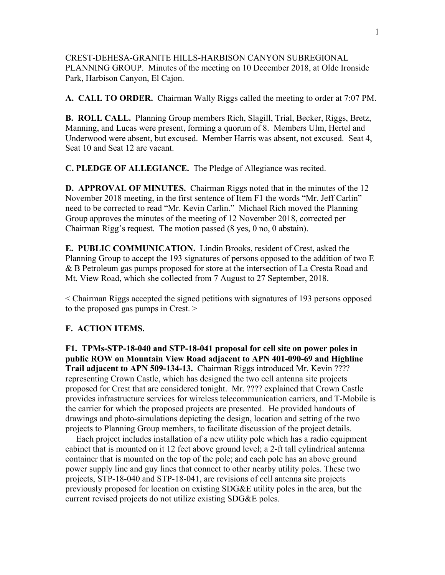CREST-DEHESA-GRANITE HILLS-HARBISON CANYON SUBREGIONAL PLANNING GROUP. Minutes of the meeting on 10 December 2018, at Olde Ironside Park, Harbison Canyon, El Cajon.

**A. CALL TO ORDER.** Chairman Wally Riggs called the meeting to order at 7:07 PM.

**B. ROLL CALL.** Planning Group members Rich, Slagill, Trial, Becker, Riggs, Bretz, Manning, and Lucas were present, forming a quorum of 8. Members Ulm, Hertel and Underwood were absent, but excused. Member Harris was absent, not excused. Seat 4, Seat 10 and Seat 12 are vacant.

**C. PLEDGE OF ALLEGIANCE.** The Pledge of Allegiance was recited.

**D. APPROVAL OF MINUTES.** Chairman Riggs noted that in the minutes of the 12 November 2018 meeting, in the first sentence of Item F1 the words "Mr. Jeff Carlin" need to be corrected to read "Mr. Kevin Carlin." Michael Rich moved the Planning Group approves the minutes of the meeting of 12 November 2018, corrected per Chairman Rigg's request. The motion passed (8 yes, 0 no, 0 abstain).

**E. PUBLIC COMMUNICATION.** Lindin Brooks, resident of Crest, asked the Planning Group to accept the 193 signatures of persons opposed to the addition of two E & B Petroleum gas pumps proposed for store at the intersection of La Cresta Road and Mt. View Road, which she collected from 7 August to 27 September, 2018.

< Chairman Riggs accepted the signed petitions with signatures of 193 persons opposed to the proposed gas pumps in Crest. >

## **F. ACTION ITEMS.**

**F1. TPMs-STP-18-040 and STP-18-041 proposal for cell site on power poles in public ROW on Mountain View Road adjacent to APN 401-090-69 and Highline Trail adjacent to APN 509-134-13.** Chairman Riggs introduced Mr. Kevin ???? representing Crown Castle, which has designed the two cell antenna site projects proposed for Crest that are considered tonight. Mr. ???? explained that Crown Castle provides infrastructure services for wireless telecommunication carriers, and T-Mobile is the carrier for which the proposed projects are presented. He provided handouts of drawings and photo-simulations depicting the design, location and setting of the two projects to Planning Group members, to facilitate discussion of the project details.

 Each project includes installation of a new utility pole which has a radio equipment cabinet that is mounted on it 12 feet above ground level; a 2-ft tall cylindrical antenna container that is mounted on the top of the pole; and each pole has an above ground power supply line and guy lines that connect to other nearby utility poles. These two projects, STP-18-040 and STP-18-041, are revisions of cell antenna site projects previously proposed for location on existing SDG&E utility poles in the area, but the current revised projects do not utilize existing SDG&E poles.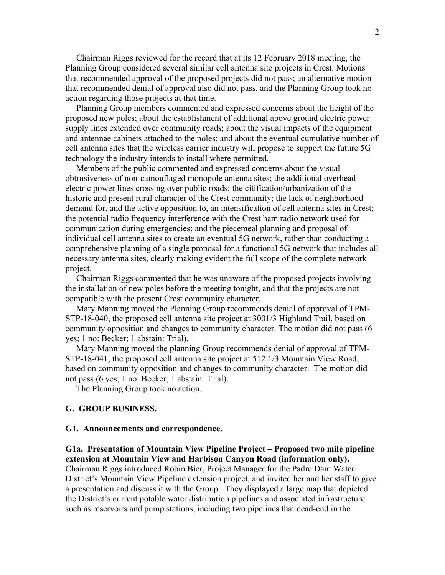Chairman Riggs reviewed for the record that at its 12 February 2018 meeting, the Planning Group considered several similar cell antenna site projects in Crest. Motions that recommended approval of the proposed projects did not pass; an alternative motion that recommended denial of approval also did not pass, and the Planning Group took no action regarding those projects at that time.

 Planning Group members commented and expressed concerns about the height of the proposed new poles; about the establishment of additional above ground electric power supply lines extended over community roads; about the visual impacts of the equipment and antennae cabinets attached to the poles; and about the eventual cumulative number of cell antenna sites that the wireless carrier industry will propose to support the future 5G technology the industry intends to install where permitted.

 Members of the public commented and expressed concerns about the visual obtrusiveness of non-camouflaged monopole antenna sites; the additional overhead electric power lines crossing over public roads; the citification/urbanization of the historic and present rural character of the Crest community; the lack of neighborhood demand for, and the active opposition to, an intensification of cell antenna sites in Crest; the potential radio frequency interference with the Crest ham radio network used for communication during emergencies; and the piecemeal planning and proposal of individual cell antenna sites to create an eventual 5G network, rather than conducting a comprehensive planning of a single proposal for a functional 5G network that includes all necessary antenna sites, clearly making evident the full scope of the complete network project.

 Chairman Riggs commented that he was unaware of the proposed projects involving the installation of new poles before the meeting tonight, and that the projects are not compatible with the present Crest community character.

 Mary Manning moved the Planning Group recommends denial of approval of TPM-STP-18-040, the proposed cell antenna site project at 3001/3 Highland Trail, based on community opposition and changes to community character. The motion did not pass (6 yes; 1 no: Becker; 1 abstain: Trial).

 Mary Manning moved the planning Group recommends denial of approval of TPM-STP-18-041, the proposed cell antenna site project at 512 1/3 Mountain View Road, based on community opposition and changes to community character. The motion did not pass (6 yes; 1 no: Becker; 1 abstain: Trial).

The Planning Group took no action.

## **G. GROUP BUSINESS.**

## **G1. Announcements and correspondence.**

**G1a. Presentation of Mountain View Pipeline Project – Proposed two mile pipeline extension at Mountain View and Harbison Canyon Road (information only).**

Chairman Riggs introduced Robin Bier, Project Manager for the Padre Dam Water District's Mountain View Pipeline extension project, and invited her and her staff to give a presentation and discuss it with the Group. They displayed a large map that depicted the District's current potable water distribution pipelines and associated infrastructure such as reservoirs and pump stations, including two pipelines that dead-end in the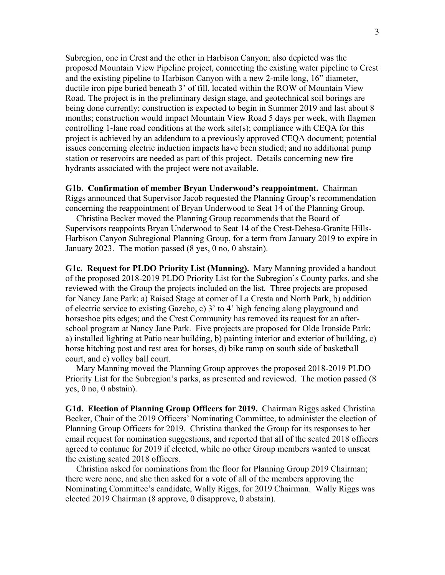Subregion, one in Crest and the other in Harbison Canyon; also depicted was the proposed Mountain View Pipeline project, connecting the existing water pipeline to Crest and the existing pipeline to Harbison Canyon with a new 2-mile long, 16" diameter, ductile iron pipe buried beneath 3' of fill, located within the ROW of Mountain View Road. The project is in the preliminary design stage, and geotechnical soil borings are being done currently; construction is expected to begin in Summer 2019 and last about 8 months; construction would impact Mountain View Road 5 days per week, with flagmen controlling 1-lane road conditions at the work site(s); compliance with CEQA for this project is achieved by an addendum to a previously approved CEQA document; potential issues concerning electric induction impacts have been studied; and no additional pump station or reservoirs are needed as part of this project. Details concerning new fire hydrants associated with the project were not available.

## **G1b. Confirmation of member Bryan Underwood's reappointment.** Chairman Riggs announced that Supervisor Jacob requested the Planning Group's recommendation concerning the reappointment of Bryan Underwood to Seat 14 of the Planning Group.

 Christina Becker moved the Planning Group recommends that the Board of Supervisors reappoints Bryan Underwood to Seat 14 of the Crest-Dehesa-Granite Hills-Harbison Canyon Subregional Planning Group, for a term from January 2019 to expire in January 2023. The motion passed (8 yes, 0 no, 0 abstain).

**G1c. Request for PLDO Priority List (Manning).** Mary Manning provided a handout of the proposed 2018-2019 PLDO Priority List for the Subregion's County parks, and she reviewed with the Group the projects included on the list. Three projects are proposed for Nancy Jane Park: a) Raised Stage at corner of La Cresta and North Park, b) addition of electric service to existing Gazebo, c) 3' to 4' high fencing along playground and horseshoe pits edges; and the Crest Community has removed its request for an afterschool program at Nancy Jane Park. Five projects are proposed for Olde Ironside Park: a) installed lighting at Patio near building, b) painting interior and exterior of building, c) horse hitching post and rest area for horses, d) bike ramp on south side of basketball court, and e) volley ball court.

 Mary Manning moved the Planning Group approves the proposed 2018-2019 PLDO Priority List for the Subregion's parks, as presented and reviewed. The motion passed (8 yes, 0 no, 0 abstain).

**G1d. Election of Planning Group Officers for 2019.** Chairman Riggs asked Christina Becker, Chair of the 2019 Officers' Nominating Committee, to administer the election of Planning Group Officers for 2019. Christina thanked the Group for its responses to her email request for nomination suggestions, and reported that all of the seated 2018 officers agreed to continue for 2019 if elected, while no other Group members wanted to unseat the existing seated 2018 officers.

 Christina asked for nominations from the floor for Planning Group 2019 Chairman; there were none, and she then asked for a vote of all of the members approving the Nominating Committee's candidate, Wally Riggs, for 2019 Chairman. Wally Riggs was elected 2019 Chairman (8 approve, 0 disapprove, 0 abstain).